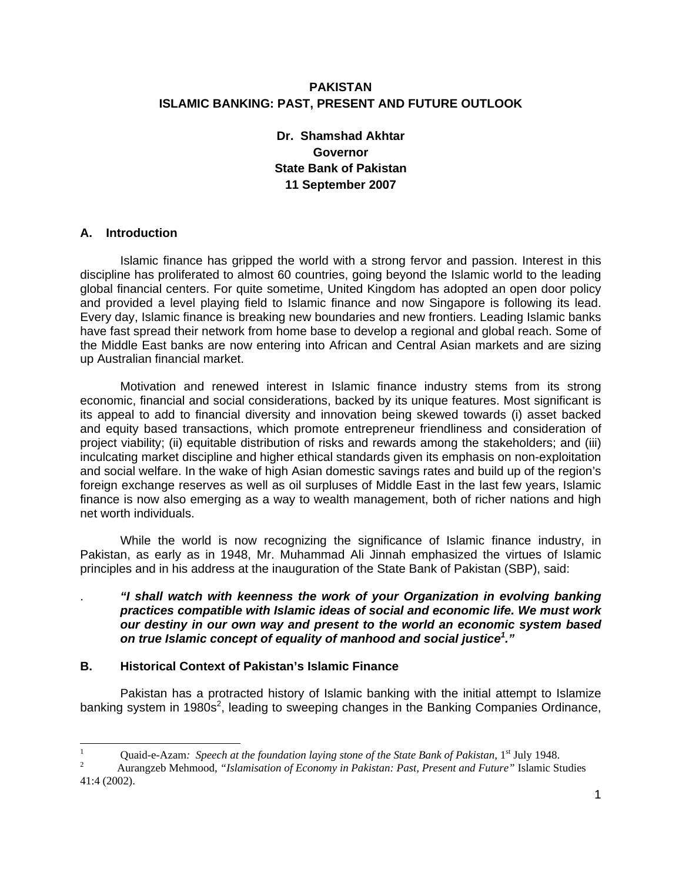## **PAKISTAN ISLAMIC BANKING: PAST, PRESENT AND FUTURE OUTLOOK**

# **Dr. Shamshad Akhtar Governor State Bank of Pakistan 11 September 2007**

### **A. Introduction**

Islamic finance has gripped the world with a strong fervor and passion. Interest in this discipline has proliferated to almost 60 countries, going beyond the Islamic world to the leading global financial centers. For quite sometime, United Kingdom has adopted an open door policy and provided a level playing field to Islamic finance and now Singapore is following its lead. Every day, Islamic finance is breaking new boundaries and new frontiers. Leading Islamic banks have fast spread their network from home base to develop a regional and global reach. Some of the Middle East banks are now entering into African and Central Asian markets and are sizing up Australian financial market.

Motivation and renewed interest in Islamic finance industry stems from its strong economic, financial and social considerations, backed by its unique features. Most significant is its appeal to add to financial diversity and innovation being skewed towards (i) asset backed and equity based transactions, which promote entrepreneur friendliness and consideration of project viability; (ii) equitable distribution of risks and rewards among the stakeholders; and (iii) inculcating market discipline and higher ethical standards given its emphasis on non-exploitation and social welfare. In the wake of high Asian domestic savings rates and build up of the region's foreign exchange reserves as well as oil surpluses of Middle East in the last few years, Islamic finance is now also emerging as a way to wealth management, both of richer nations and high net worth individuals.

While the world is now recognizing the significance of Islamic finance industry, in Pakistan, as early as in 1948, Mr. Muhammad Ali Jinnah emphasized the virtues of Islamic principles and in his address at the inauguration of the State Bank of Pakistan (SBP), said:

### . *"I shall watch with keenness the work of your Organization in evolving banking practices compatible with Islamic ideas of social and economic life. We must work our destiny in our own way and present to the world an economic system based on true Islamic concept of equality of manhood and social justice1 ."*

#### **B. Historical Context of Pakistan's Islamic Finance**

Pakistan has a protracted history of Islamic banking with the initial attempt to Islamize banking system in 1980s<sup>2</sup>, leading to sweeping changes in the Banking Companies Ordinance,

 $\frac{1}{1}$ Quaid-e-Azam: *Speech at the foundation laying stone of the State Bank of Pakistan*,  $1^{st}$  July 1948.

Aurangzeb Mehmood, *"Islamisation of Economy in Pakistan: Past, Present and Future"* Islamic Studies 41:4 (2002).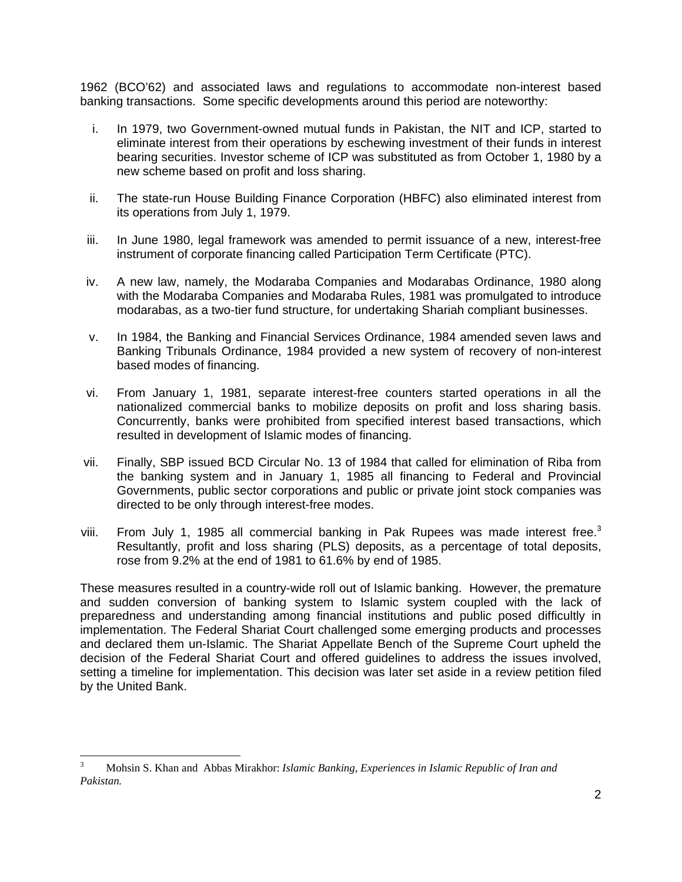1962 (BCO'62) and associated laws and regulations to accommodate non-interest based banking transactions. Some specific developments around this period are noteworthy:

- i. In 1979, two Government-owned mutual funds in Pakistan, the NIT and ICP, started to eliminate interest from their operations by eschewing investment of their funds in interest bearing securities. Investor scheme of ICP was substituted as from October 1, 1980 by a new scheme based on profit and loss sharing.
- ii. The state-run House Building Finance Corporation (HBFC) also eliminated interest from its operations from July 1, 1979.
- iii. In June 1980, legal framework was amended to permit issuance of a new, interest-free instrument of corporate financing called Participation Term Certificate (PTC).
- iv. A new law, namely, the Modaraba Companies and Modarabas Ordinance, 1980 along with the Modaraba Companies and Modaraba Rules, 1981 was promulgated to introduce modarabas, as a two-tier fund structure, for undertaking Shariah compliant businesses.
- v. In 1984, the Banking and Financial Services Ordinance, 1984 amended seven laws and Banking Tribunals Ordinance, 1984 provided a new system of recovery of non-interest based modes of financing.
- vi. From January 1, 1981, separate interest-free counters started operations in all the nationalized commercial banks to mobilize deposits on profit and loss sharing basis. Concurrently, banks were prohibited from specified interest based transactions, which resulted in development of Islamic modes of financing.
- vii. Finally, SBP issued BCD Circular No. 13 of 1984 that called for elimination of Riba from the banking system and in January 1, 1985 all financing to Federal and Provincial Governments, public sector corporations and public or private joint stock companies was directed to be only through interest-free modes.
- viii. From July 1, 1985 all commercial banking in Pak Rupees was made interest free. $3$ Resultantly, profit and loss sharing (PLS) deposits, as a percentage of total deposits, rose from 9.2% at the end of 1981 to 61.6% by end of 1985.

These measures resulted in a country-wide roll out of Islamic banking. However, the premature and sudden conversion of banking system to Islamic system coupled with the lack of preparedness and understanding among financial institutions and public posed difficultly in implementation. The Federal Shariat Court challenged some emerging products and processes and declared them un-Islamic. The Shariat Appellate Bench of the Supreme Court upheld the decision of the Federal Shariat Court and offered guidelines to address the issues involved, setting a timeline for implementation. This decision was later set aside in a review petition filed by the United Bank.

-

<sup>3</sup> Mohsin S. Khan and Abbas Mirakhor: *Islamic Banking, Experiences in Islamic Republic of Iran and Pakistan.*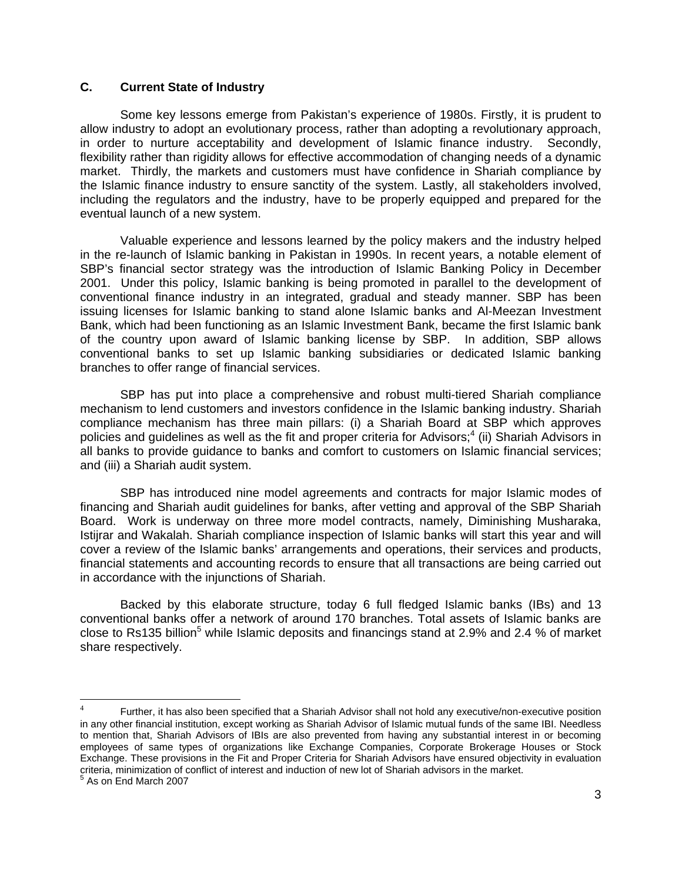### **C. Current State of Industry**

Some key lessons emerge from Pakistan's experience of 1980s. Firstly, it is prudent to allow industry to adopt an evolutionary process, rather than adopting a revolutionary approach, in order to nurture acceptability and development of Islamic finance industry. Secondly, flexibility rather than rigidity allows for effective accommodation of changing needs of a dynamic market. Thirdly, the markets and customers must have confidence in Shariah compliance by the Islamic finance industry to ensure sanctity of the system. Lastly, all stakeholders involved, including the regulators and the industry, have to be properly equipped and prepared for the eventual launch of a new system.

Valuable experience and lessons learned by the policy makers and the industry helped in the re-launch of Islamic banking in Pakistan in 1990s. In recent years, a notable element of SBP's financial sector strategy was the introduction of Islamic Banking Policy in December 2001. Under this policy, Islamic banking is being promoted in parallel to the development of conventional finance industry in an integrated, gradual and steady manner. SBP has been issuing licenses for Islamic banking to stand alone Islamic banks and Al-Meezan Investment Bank, which had been functioning as an Islamic Investment Bank, became the first Islamic bank of the country upon award of Islamic banking license by SBP. In addition, SBP allows conventional banks to set up Islamic banking subsidiaries or dedicated Islamic banking branches to offer range of financial services.

SBP has put into place a comprehensive and robust multi-tiered Shariah compliance mechanism to lend customers and investors confidence in the Islamic banking industry. Shariah compliance mechanism has three main pillars: (i) a Shariah Board at SBP which approves policies and guidelines as well as the fit and proper criteria for Advisors;<sup>4</sup> (ii) Shariah Advisors in all banks to provide guidance to banks and comfort to customers on Islamic financial services; and (iii) a Shariah audit system.

SBP has introduced nine model agreements and contracts for major Islamic modes of financing and Shariah audit guidelines for banks, after vetting and approval of the SBP Shariah Board. Work is underway on three more model contracts, namely, Diminishing Musharaka, Istijrar and Wakalah. Shariah compliance inspection of Islamic banks will start this year and will cover a review of the Islamic banks' arrangements and operations, their services and products, financial statements and accounting records to ensure that all transactions are being carried out in accordance with the injunctions of Shariah.

Backed by this elaborate structure, today 6 full fledged Islamic banks (IBs) and 13 conventional banks offer a network of around 170 branches. Total assets of Islamic banks are close to Rs135 billion<sup>5</sup> while Islamic deposits and financings stand at 2.9% and 2.4 % of market share respectively.

<sup>4</sup> Further, it has also been specified that a Shariah Advisor shall not hold any executive/non-executive position in any other financial institution, except working as Shariah Advisor of Islamic mutual funds of the same IBI. Needless to mention that, Shariah Advisors of IBIs are also prevented from having any substantial interest in or becoming employees of same types of organizations like Exchange Companies, Corporate Brokerage Houses or Stock Exchange. These provisions in the Fit and Proper Criteria for Shariah Advisors have ensured objectivity in evaluation criteria, minimization of conflict of interest and induction of new lot of Shariah advisors in the market.<br><sup>5</sup> As on End March 2007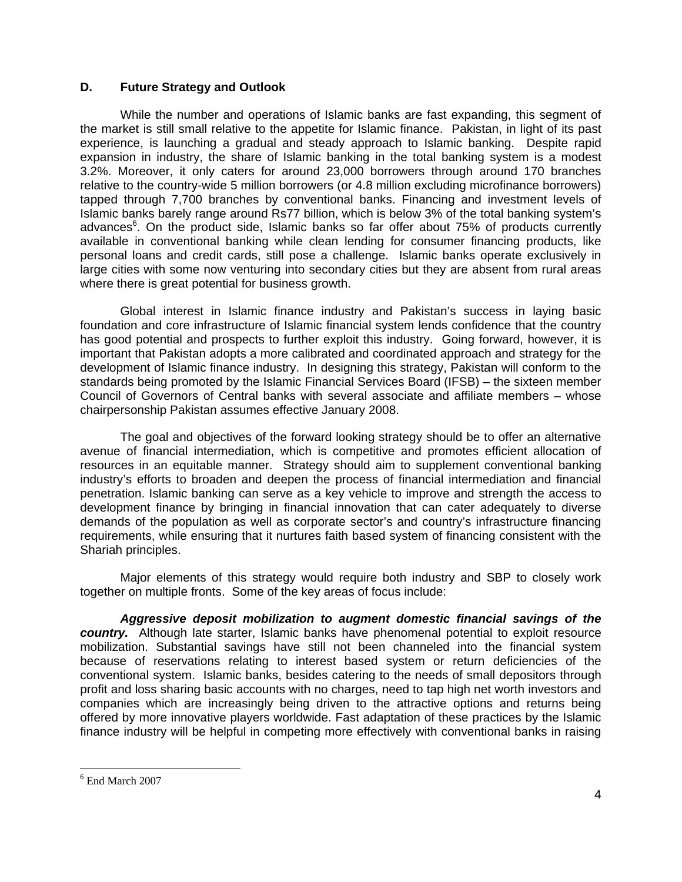### **D. Future Strategy and Outlook**

While the number and operations of Islamic banks are fast expanding, this segment of the market is still small relative to the appetite for Islamic finance. Pakistan, in light of its past experience, is launching a gradual and steady approach to Islamic banking. Despite rapid expansion in industry, the share of Islamic banking in the total banking system is a modest 3.2%. Moreover, it only caters for around 23,000 borrowers through around 170 branches relative to the country-wide 5 million borrowers (or 4.8 million excluding microfinance borrowers) tapped through 7,700 branches by conventional banks. Financing and investment levels of Islamic banks barely range around Rs77 billion, which is below 3% of the total banking system's advances<sup>6</sup>. On the product side, Islamic banks so far offer about 75% of products currently available in conventional banking while clean lending for consumer financing products, like personal loans and credit cards, still pose a challenge. Islamic banks operate exclusively in large cities with some now venturing into secondary cities but they are absent from rural areas where there is great potential for business growth.

Global interest in Islamic finance industry and Pakistan's success in laying basic foundation and core infrastructure of Islamic financial system lends confidence that the country has good potential and prospects to further exploit this industry. Going forward, however, it is important that Pakistan adopts a more calibrated and coordinated approach and strategy for the development of Islamic finance industry. In designing this strategy, Pakistan will conform to the standards being promoted by the Islamic Financial Services Board (IFSB) – the sixteen member Council of Governors of Central banks with several associate and affiliate members – whose chairpersonship Pakistan assumes effective January 2008.

The goal and objectives of the forward looking strategy should be to offer an alternative avenue of financial intermediation, which is competitive and promotes efficient allocation of resources in an equitable manner. Strategy should aim to supplement conventional banking industry's efforts to broaden and deepen the process of financial intermediation and financial penetration. Islamic banking can serve as a key vehicle to improve and strength the access to development finance by bringing in financial innovation that can cater adequately to diverse demands of the population as well as corporate sector's and country's infrastructure financing requirements, while ensuring that it nurtures faith based system of financing consistent with the Shariah principles.

Major elements of this strategy would require both industry and SBP to closely work together on multiple fronts. Some of the key areas of focus include:

*Aggressive deposit mobilization to augment domestic financial savings of the country.* Although late starter, Islamic banks have phenomenal potential to exploit resource mobilization. Substantial savings have still not been channeled into the financial system because of reservations relating to interest based system or return deficiencies of the conventional system. Islamic banks, besides catering to the needs of small depositors through profit and loss sharing basic accounts with no charges, need to tap high net worth investors and companies which are increasingly being driven to the attractive options and returns being offered by more innovative players worldwide. Fast adaptation of these practices by the Islamic finance industry will be helpful in competing more effectively with conventional banks in raising

 6 End March 2007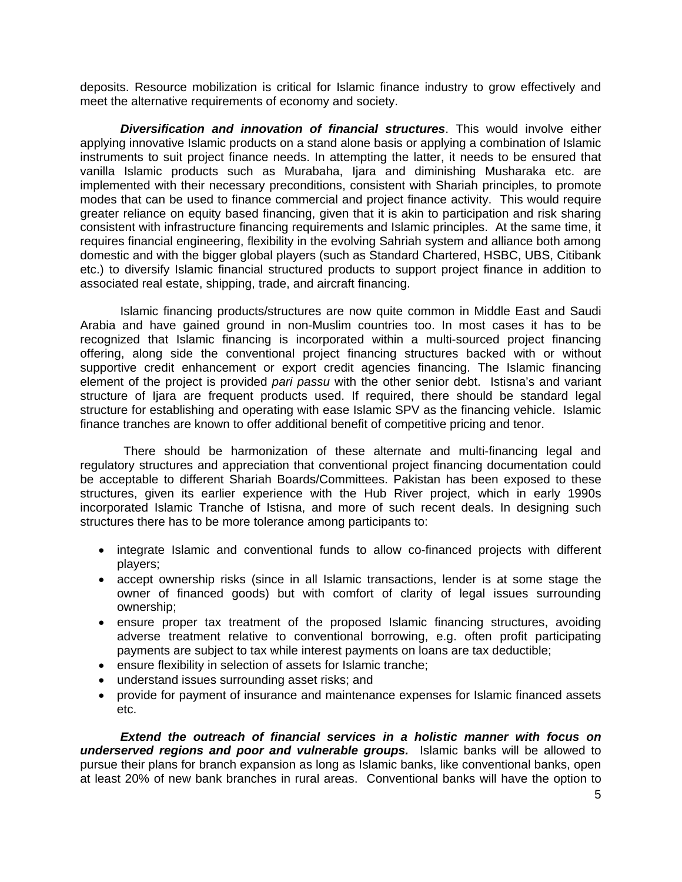deposits. Resource mobilization is critical for Islamic finance industry to grow effectively and meet the alternative requirements of economy and society.

*Diversification and innovation of financial structures*. This would involve either applying innovative Islamic products on a stand alone basis or applying a combination of Islamic instruments to suit project finance needs. In attempting the latter, it needs to be ensured that vanilla Islamic products such as Murabaha, Ijara and diminishing Musharaka etc. are implemented with their necessary preconditions, consistent with Shariah principles, to promote modes that can be used to finance commercial and project finance activity. This would require greater reliance on equity based financing, given that it is akin to participation and risk sharing consistent with infrastructure financing requirements and Islamic principles. At the same time, it requires financial engineering, flexibility in the evolving Sahriah system and alliance both among domestic and with the bigger global players (such as Standard Chartered, HSBC, UBS, Citibank etc.) to diversify Islamic financial structured products to support project finance in addition to associated real estate, shipping, trade, and aircraft financing.

Islamic financing products/structures are now quite common in Middle East and Saudi Arabia and have gained ground in non-Muslim countries too. In most cases it has to be recognized that Islamic financing is incorporated within a multi-sourced project financing offering, along side the conventional project financing structures backed with or without supportive credit enhancement or export credit agencies financing. The Islamic financing element of the project is provided *pari passu* with the other senior debt. Istisna's and variant structure of Ijara are frequent products used. If required, there should be standard legal structure for establishing and operating with ease Islamic SPV as the financing vehicle. Islamic finance tranches are known to offer additional benefit of competitive pricing and tenor.

 There should be harmonization of these alternate and multi-financing legal and regulatory structures and appreciation that conventional project financing documentation could be acceptable to different Shariah Boards/Committees. Pakistan has been exposed to these structures, given its earlier experience with the Hub River project, which in early 1990s incorporated Islamic Tranche of Istisna, and more of such recent deals. In designing such structures there has to be more tolerance among participants to:

- integrate Islamic and conventional funds to allow co-financed projects with different players;
- accept ownership risks (since in all Islamic transactions, lender is at some stage the owner of financed goods) but with comfort of clarity of legal issues surrounding ownership;
- ensure proper tax treatment of the proposed Islamic financing structures, avoiding adverse treatment relative to conventional borrowing, e.g. often profit participating payments are subject to tax while interest payments on loans are tax deductible;
- ensure flexibility in selection of assets for Islamic tranche;
- understand issues surrounding asset risks; and
- provide for payment of insurance and maintenance expenses for Islamic financed assets etc.

*Extend the outreach of financial services in a holistic manner with focus on underserved regions and poor and vulnerable groups.* Islamic banks will be allowed to pursue their plans for branch expansion as long as Islamic banks, like conventional banks, open at least 20% of new bank branches in rural areas. Conventional banks will have the option to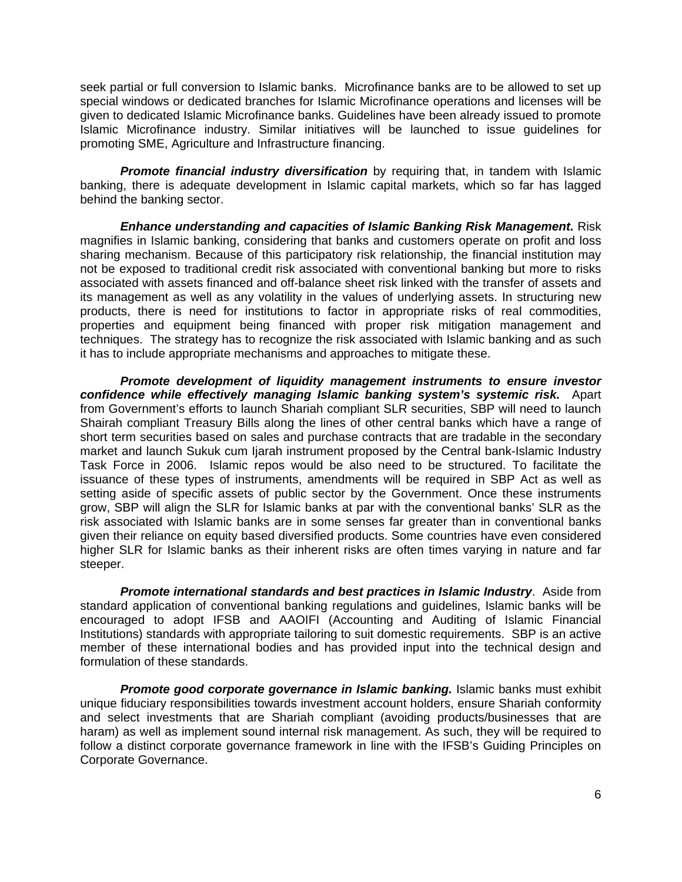seek partial or full conversion to Islamic banks. Microfinance banks are to be allowed to set up special windows or dedicated branches for Islamic Microfinance operations and licenses will be given to dedicated Islamic Microfinance banks. Guidelines have been already issued to promote Islamic Microfinance industry. Similar initiatives will be launched to issue guidelines for promoting SME, Agriculture and Infrastructure financing.

**Promote financial industry diversification** by requiring that, in tandem with Islamic banking, there is adequate development in Islamic capital markets, which so far has lagged behind the banking sector.

*Enhance understanding and capacities of Islamic Banking Risk Management. Risk* magnifies in Islamic banking, considering that banks and customers operate on profit and loss sharing mechanism. Because of this participatory risk relationship, the financial institution may not be exposed to traditional credit risk associated with conventional banking but more to risks associated with assets financed and off-balance sheet risk linked with the transfer of assets and its management as well as any volatility in the values of underlying assets. In structuring new products, there is need for institutions to factor in appropriate risks of real commodities, properties and equipment being financed with proper risk mitigation management and techniques. The strategy has to recognize the risk associated with Islamic banking and as such it has to include appropriate mechanisms and approaches to mitigate these.

*Promote development of liquidity management instruments to ensure investor confidence while effectively managing Islamic banking system's systemic risk.* Apart from Government's efforts to launch Shariah compliant SLR securities, SBP will need to launch Shairah compliant Treasury Bills along the lines of other central banks which have a range of short term securities based on sales and purchase contracts that are tradable in the secondary market and launch Sukuk cum Ijarah instrument proposed by the Central bank-Islamic Industry Task Force in 2006. Islamic repos would be also need to be structured. To facilitate the issuance of these types of instruments, amendments will be required in SBP Act as well as setting aside of specific assets of public sector by the Government. Once these instruments grow, SBP will align the SLR for Islamic banks at par with the conventional banks' SLR as the risk associated with Islamic banks are in some senses far greater than in conventional banks given their reliance on equity based diversified products. Some countries have even considered higher SLR for Islamic banks as their inherent risks are often times varying in nature and far steeper.

*Promote international standards and best practices in Islamic Industry*. Aside from standard application of conventional banking regulations and guidelines, Islamic banks will be encouraged to adopt IFSB and AAOIFI (Accounting and Auditing of Islamic Financial Institutions) standards with appropriate tailoring to suit domestic requirements. SBP is an active member of these international bodies and has provided input into the technical design and formulation of these standards.

*Promote good corporate governance in Islamic banking.* Islamic banks must exhibit unique fiduciary responsibilities towards investment account holders, ensure Shariah conformity and select investments that are Shariah compliant (avoiding products/businesses that are haram) as well as implement sound internal risk management. As such, they will be required to follow a distinct corporate governance framework in line with the IFSB's Guiding Principles on Corporate Governance.